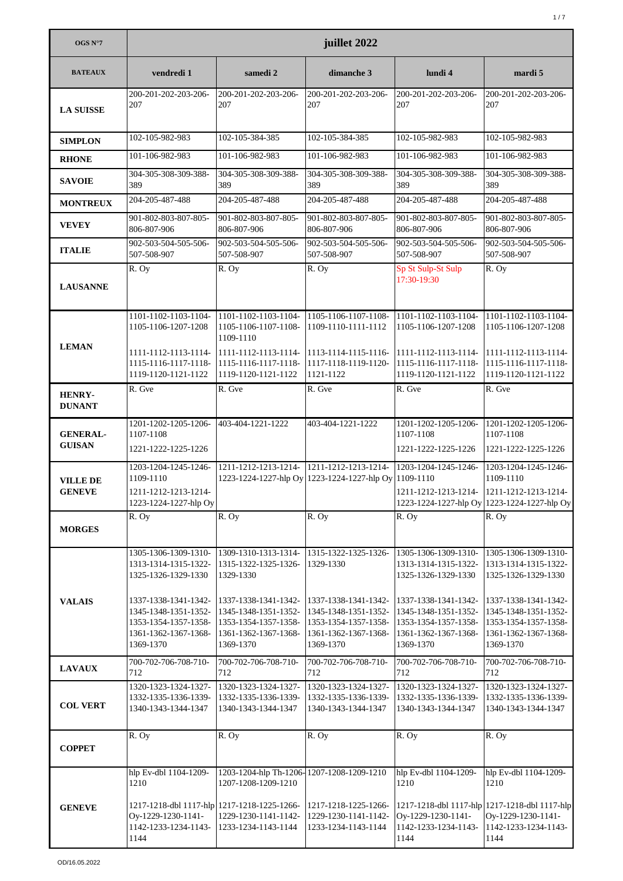| OGS $N°7$                        | juillet 2022                                                                                              |                                                                                                           |                                                                                                           |                                                                                                           |                                                                                                           |  |
|----------------------------------|-----------------------------------------------------------------------------------------------------------|-----------------------------------------------------------------------------------------------------------|-----------------------------------------------------------------------------------------------------------|-----------------------------------------------------------------------------------------------------------|-----------------------------------------------------------------------------------------------------------|--|
| <b>BATEAUX</b>                   | vendredi 1                                                                                                | samedi 2                                                                                                  | dimanche 3                                                                                                | lundi 4                                                                                                   | mardi 5                                                                                                   |  |
| <b>LA SUISSE</b>                 | 200-201-202-203-206-<br>207                                                                               | 200-201-202-203-206-<br>207                                                                               | 200-201-202-203-206-<br>207                                                                               | 200-201-202-203-206-<br>207                                                                               | 200-201-202-203-206-<br>207                                                                               |  |
| <b>SIMPLON</b>                   | 102-105-982-983                                                                                           | 102-105-384-385                                                                                           | 102-105-384-385                                                                                           | 102-105-982-983                                                                                           | 102-105-982-983                                                                                           |  |
| <b>RHONE</b>                     | 101-106-982-983                                                                                           | 101-106-982-983                                                                                           | 101-106-982-983                                                                                           | 101-106-982-983                                                                                           | 101-106-982-983                                                                                           |  |
| <b>SAVOIE</b>                    | 304-305-308-309-388-<br>389                                                                               | 304-305-308-309-388-<br>389                                                                               | 304-305-308-309-388-<br>389                                                                               | 304-305-308-309-388-<br>389                                                                               | 304-305-308-309-388-<br>389                                                                               |  |
| <b>MONTREUX</b>                  | 204-205-487-488                                                                                           | 204-205-487-488                                                                                           | 204-205-487-488                                                                                           | 204-205-487-488                                                                                           | 204-205-487-488                                                                                           |  |
| <b>VEVEY</b>                     | 901-802-803-807-805-<br>806-807-906                                                                       | 901-802-803-807-805-<br>806-807-906                                                                       | 901-802-803-807-805-<br>806-807-906                                                                       | 901-802-803-807-805-<br>806-807-906                                                                       | 901-802-803-807-805-<br>806-807-906                                                                       |  |
| <b>ITALIE</b>                    | 902-503-504-505-506-<br>507-508-907                                                                       | 902-503-504-505-506-<br>507-508-907                                                                       | 902-503-504-505-506-<br>507-508-907                                                                       | 902-503-504-505-506-<br>507-508-907                                                                       | 902-503-504-505-506-<br>507-508-907                                                                       |  |
| <b>LAUSANNE</b>                  | R. Oy                                                                                                     | R. Oy                                                                                                     | R. Oy                                                                                                     | Sp St Sulp-St Sulp<br>17:30-19:30                                                                         | R. Ov                                                                                                     |  |
| <b>LEMAN</b>                     | 1101-1102-1103-1104-<br>1105-1106-1207-1208                                                               | 1101-1102-1103-1104-<br>1105-1106-1107-1108-<br>1109-1110                                                 | 1105-1106-1107-1108-<br>1109-1110-1111-1112                                                               | 1101-1102-1103-1104-<br>1105-1106-1207-1208                                                               | 1101-1102-1103-1104-<br>1105-1106-1207-1208                                                               |  |
|                                  | 1111-1112-1113-1114-<br>1115-1116-1117-1118-<br>1119-1120-1121-1122                                       | 1111-1112-1113-1114-<br>1115-1116-1117-1118-<br>1119-1120-1121-1122                                       | 1113-1114-1115-1116-<br>1117-1118-1119-1120-<br>1121-1122                                                 | 1111-1112-1113-1114-<br>1115-1116-1117-1118-<br>1119-1120-1121-1122                                       | 1111-1112-1113-1114-<br>1115-1116-1117-1118-<br>1119-1120-1121-1122                                       |  |
| <b>HENRY-</b><br><b>DUNANT</b>   | R. Gve                                                                                                    | R. Gve                                                                                                    | R. Gve                                                                                                    | R. Gve                                                                                                    | R. Gve                                                                                                    |  |
| <b>GENERAL-</b><br><b>GUISAN</b> | 1201-1202-1205-1206-<br>1107-1108<br>1221-1222-1225-1226                                                  | 403-404-1221-1222                                                                                         | 403-404-1221-1222                                                                                         | 1201-1202-1205-1206-<br>1107-1108<br>1221-1222-1225-1226                                                  | 1201-1202-1205-1206-<br>1107-1108<br>1221-1222-1225-1226                                                  |  |
|                                  | 1203-1204-1245-1246-                                                                                      | 1211-1212-1213-1214-                                                                                      | 1211-1212-1213-1214-                                                                                      | 1203-1204-1245-1246-                                                                                      | 1203-1204-1245-1246-                                                                                      |  |
| <b>VILLE DE</b><br><b>GENEVE</b> | 1109-1110<br>1211-1212-1213-1214-                                                                         |                                                                                                           | 1223-1224-1227-hlp Oy 1223-1224-1227-hlp Oy 1109-1110                                                     |                                                                                                           | 1109-1110<br>1211-1212-1213-1214- 1211-1212-1213-1214-                                                    |  |
|                                  | 1223-1224-1227-hlp Oy                                                                                     |                                                                                                           |                                                                                                           |                                                                                                           | 1223-1224-1227-hlp Oy 1223-1224-1227-hlp Oy                                                               |  |
| <b>MORGES</b>                    | R. Oy                                                                                                     | R. Oy                                                                                                     | R. Oy                                                                                                     | R. Oy                                                                                                     | R. Oy                                                                                                     |  |
|                                  | 1305-1306-1309-1310-<br>1313-1314-1315-1322-<br>1325-1326-1329-1330                                       | 1309-1310-1313-1314-<br>1315-1322-1325-1326-<br>1329-1330                                                 | 1315-1322-1325-1326-<br>1329-1330                                                                         | 1305-1306-1309-1310-<br>1313-1314-1315-1322-<br>1325-1326-1329-1330                                       | 1305-1306-1309-1310-<br>1313-1314-1315-1322-<br>1325-1326-1329-1330                                       |  |
| <b>VALAIS</b>                    | 1337-1338-1341-1342-<br>1345-1348-1351-1352-<br>1353-1354-1357-1358-<br>1361-1362-1367-1368-<br>1369-1370 | 1337-1338-1341-1342-<br>1345-1348-1351-1352-<br>1353-1354-1357-1358-<br>1361-1362-1367-1368-<br>1369-1370 | 1337-1338-1341-1342-<br>1345-1348-1351-1352-<br>1353-1354-1357-1358-<br>1361-1362-1367-1368-<br>1369-1370 | 1337-1338-1341-1342-<br>1345-1348-1351-1352-<br>1353-1354-1357-1358-<br>1361-1362-1367-1368-<br>1369-1370 | 1337-1338-1341-1342-<br>1345-1348-1351-1352-<br>1353-1354-1357-1358-<br>1361-1362-1367-1368-<br>1369-1370 |  |
| <b>LAVAUX</b>                    | 700-702-706-708-710-<br>712                                                                               | 700-702-706-708-710-<br>712                                                                               | 700-702-706-708-710-<br>712                                                                               | 700-702-706-708-710-<br>712                                                                               | 700-702-706-708-710-<br>712                                                                               |  |
| <b>COL VERT</b>                  | 1320-1323-1324-1327-<br>1332-1335-1336-1339-<br>1340-1343-1344-1347                                       | 1320-1323-1324-1327-<br>1332-1335-1336-1339-<br>1340-1343-1344-1347                                       | 1320-1323-1324-1327-<br>1332-1335-1336-1339-<br>1340-1343-1344-1347                                       | 1320-1323-1324-1327-<br>1332-1335-1336-1339-<br>1340-1343-1344-1347                                       | 1320-1323-1324-1327-<br>1332-1335-1336-1339-<br>1340-1343-1344-1347                                       |  |
| <b>COPPET</b>                    | R. Oy                                                                                                     | R. Oy                                                                                                     | R. Oy                                                                                                     | R. Oy                                                                                                     | R. Oy                                                                                                     |  |
|                                  | hlp Ev-dbl 1104-1209-<br>1210                                                                             | 1203-1204-hlp Th-1206-1207-1208-1209-1210<br>1207-1208-1209-1210                                          |                                                                                                           | hlp Ev-dbl 1104-1209-<br>1210                                                                             | hlp Ev-dbl 1104-1209-<br>1210                                                                             |  |
| <b>GENEVE</b>                    | 1217-1218-dbl 1117-hlp 1217-1218-1225-1266-<br>Oy-1229-1230-1141-<br>1142-1233-1234-1143-<br>1144         | 1229-1230-1141-1142-<br>1233-1234-1143-1144                                                               | 1217-1218-1225-1266-<br>1229-1230-1141-1142-<br>1233-1234-1143-1144                                       | Oy-1229-1230-1141-<br>1142-1233-1234-1143-<br>1144                                                        | 1217-1218-dbl 1117-hlp 1217-1218-dbl 1117-hlp<br>Oy-1229-1230-1141-<br>1142-1233-1234-1143-<br>1144       |  |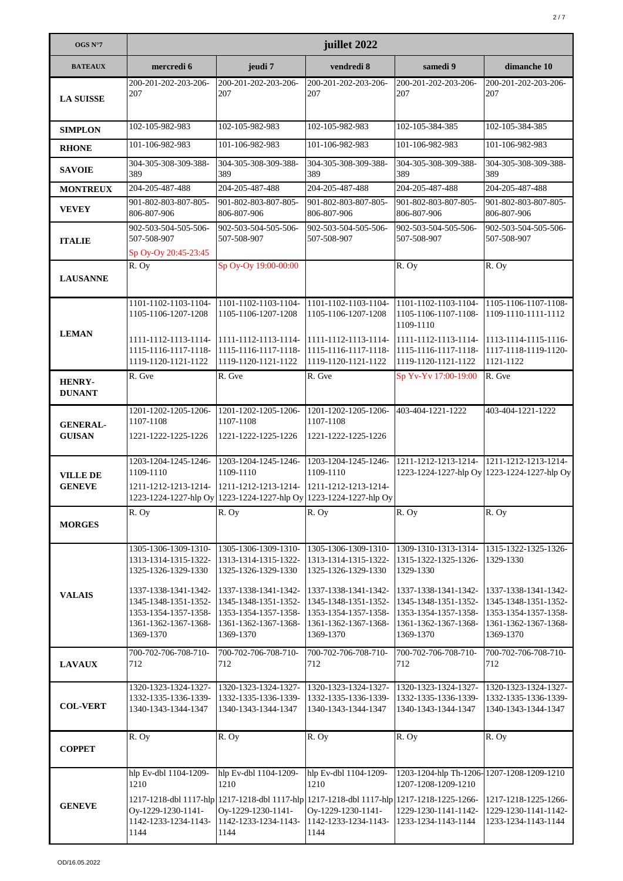| OGS N°7                          | juillet 2022                                                                                                                                                                                          |                                                                                                                                                                                  |                                                                                                                                                                                  |                                                                                                                                                                        |                                                                                                                                                |  |
|----------------------------------|-------------------------------------------------------------------------------------------------------------------------------------------------------------------------------------------------------|----------------------------------------------------------------------------------------------------------------------------------------------------------------------------------|----------------------------------------------------------------------------------------------------------------------------------------------------------------------------------|------------------------------------------------------------------------------------------------------------------------------------------------------------------------|------------------------------------------------------------------------------------------------------------------------------------------------|--|
| <b>BATEAUX</b>                   | mercredi 6                                                                                                                                                                                            | jeudi 7                                                                                                                                                                          | vendredi 8                                                                                                                                                                       | samedi 9                                                                                                                                                               | dimanche 10                                                                                                                                    |  |
| <b>LA SUISSE</b>                 | 200-201-202-203-206-<br>207                                                                                                                                                                           | 200-201-202-203-206-<br>207                                                                                                                                                      | 200-201-202-203-206-<br>207                                                                                                                                                      | 200-201-202-203-206-<br>207                                                                                                                                            | 200-201-202-203-206-<br>207                                                                                                                    |  |
| <b>SIMPLON</b>                   | 102-105-982-983                                                                                                                                                                                       | 102-105-982-983                                                                                                                                                                  | 102-105-982-983                                                                                                                                                                  | 102-105-384-385                                                                                                                                                        | 102-105-384-385                                                                                                                                |  |
| <b>RHONE</b>                     | 101-106-982-983                                                                                                                                                                                       | 101-106-982-983                                                                                                                                                                  | 101-106-982-983                                                                                                                                                                  | 101-106-982-983                                                                                                                                                        | 101-106-982-983                                                                                                                                |  |
| <b>SAVOIE</b>                    | 304-305-308-309-388-<br>389                                                                                                                                                                           | 304-305-308-309-388-<br>389                                                                                                                                                      | 304-305-308-309-388-<br>389                                                                                                                                                      | 304-305-308-309-388-<br>389                                                                                                                                            | 304-305-308-309-388-<br>389                                                                                                                    |  |
| <b>MONTREUX</b>                  | 204-205-487-488                                                                                                                                                                                       | 204-205-487-488                                                                                                                                                                  | 204-205-487-488                                                                                                                                                                  | 204-205-487-488                                                                                                                                                        | 204-205-487-488                                                                                                                                |  |
| <b>VEVEY</b>                     | 901-802-803-807-805-<br>806-807-906                                                                                                                                                                   | 901-802-803-807-805-<br>806-807-906                                                                                                                                              | 901-802-803-807-805-<br>806-807-906                                                                                                                                              | 901-802-803-807-805-<br>806-807-906                                                                                                                                    | 901-802-803-807-805-<br>806-807-906                                                                                                            |  |
| <b>ITALIE</b>                    | 902-503-504-505-506-<br>507-508-907<br>Sp Oy-Oy 20:45-23:45                                                                                                                                           | 902-503-504-505-506-<br>507-508-907                                                                                                                                              | 902-503-504-505-506-<br>507-508-907                                                                                                                                              | 902-503-504-505-506-<br>507-508-907                                                                                                                                    | 902-503-504-505-506-<br>507-508-907                                                                                                            |  |
| <b>LAUSANNE</b>                  | R. Oy                                                                                                                                                                                                 | Sp Oy-Oy 19:00-00:00                                                                                                                                                             |                                                                                                                                                                                  | $\overline{R}$ . Oy                                                                                                                                                    | R. Oy                                                                                                                                          |  |
| <b>LEMAN</b>                     | 1101-1102-1103-1104-<br>1105-1106-1207-1208                                                                                                                                                           | 1101-1102-1103-1104-<br>1105-1106-1207-1208                                                                                                                                      | 1101-1102-1103-1104-<br>1105-1106-1207-1208                                                                                                                                      | 1101-1102-1103-1104-<br>1105-1106-1107-1108-<br>1109-1110                                                                                                              | 1105-1106-1107-1108-<br>1109-1110-1111-1112                                                                                                    |  |
|                                  | 1111-1112-1113-1114-<br>1115-1116-1117-1118-<br>1119-1120-1121-1122                                                                                                                                   | $1111-1112-1113-1114-$<br>1115-1116-1117-1118-<br>1119-1120-1121-1122                                                                                                            | 1111-1112-1113-1114-<br>1115-1116-1117-1118-<br>1119-1120-1121-1122                                                                                                              | 1111-1112-1113-1114-<br>1115-1116-1117-1118-<br>1119-1120-1121-1122                                                                                                    | 1113-1114-1115-1116-<br>1117-1118-1119-1120-<br>1121-1122                                                                                      |  |
| <b>HENRY-</b><br><b>DUNANT</b>   | R. Gve                                                                                                                                                                                                | R. Gve                                                                                                                                                                           | R. Gve                                                                                                                                                                           | Sp Yv-Yv 17:00-19:00                                                                                                                                                   | R. Gve                                                                                                                                         |  |
| <b>GENERAL-</b><br><b>GUISAN</b> | 1201-1202-1205-1206-<br>1107-1108<br>1221-1222-1225-1226                                                                                                                                              | 1201-1202-1205-1206-<br>1107-1108<br>1221-1222-1225-1226                                                                                                                         | 1201-1202-1205-1206-<br>1107-1108<br>1221-1222-1225-1226                                                                                                                         | 403-404-1221-1222                                                                                                                                                      | 403-404-1221-1222                                                                                                                              |  |
| <b>VILLE DE</b><br><b>GENEVE</b> | 1203-1204-1245-1246-<br>1109-1110                                                                                                                                                                     | 1203-1204-1245-1246-<br>1109-1110<br>1211-1212-1213-1214- 1211-1212-1213-1214- 1211-1212-1213-1214-<br>1223-1224-1227-hlp Oy 1223-1224-1227-hlp Oy 1223-1224-1227-hlp Oy         | 1203-1204-1245-1246-<br>1109-1110                                                                                                                                                | 1211-1212-1213-1214- 1211-1212-1213-1214-                                                                                                                              | 1223-1224-1227-hlp Oy 1223-1224-1227-hlp Oy                                                                                                    |  |
| <b>MORGES</b>                    | R. Ov                                                                                                                                                                                                 | R. Oy                                                                                                                                                                            | R. Oy                                                                                                                                                                            | R. Oy                                                                                                                                                                  | R. Oy                                                                                                                                          |  |
| <b>VALAIS</b>                    | 1305-1306-1309-1310- 1305-1306-1309-1310-<br>1313-1314-1315-1322-<br>1325-1326-1329-1330<br>1337-1338-1341-1342-<br>1345-1348-1351-1352-<br>1353-1354-1357-1358-<br>1361-1362-1367-1368-<br>1369-1370 | 1313-1314-1315-1322-<br>1325-1326-1329-1330<br>1337-1338-1341-1342-<br>1345-1348-1351-1352-<br>1353-1354-1357-1358-<br>1361-1362-1367-1368-<br>1369-1370                         | 1305-1306-1309-1310-<br>1313-1314-1315-1322-<br>1325-1326-1329-1330<br>1337-1338-1341-1342-<br>1345-1348-1351-1352-<br>1353-1354-1357-1358-<br>1361-1362-1367-1368-<br>1369-1370 | 1309-1310-1313-1314-<br>1315-1322-1325-1326-<br>1329-1330<br>1337-1338-1341-1342-<br>1345-1348-1351-1352-<br>1353-1354-1357-1358-<br>1361-1362-1367-1368-<br>1369-1370 | 1315-1322-1325-1326-<br>1329-1330<br>1337-1338-1341-1342-<br>1345-1348-1351-1352-<br>1353-1354-1357-1358-<br>1361-1362-1367-1368-<br>1369-1370 |  |
| <b>LAVAUX</b>                    | 700-702-706-708-710-<br>712                                                                                                                                                                           | 700-702-706-708-710-<br>712                                                                                                                                                      | 700-702-706-708-710-<br>712                                                                                                                                                      | 700-702-706-708-710-<br>712                                                                                                                                            | 700-702-706-708-710-<br>712                                                                                                                    |  |
| <b>COL-VERT</b>                  | 1320-1323-1324-1327- 1320-1323-1324-1327-<br>1332-1335-1336-1339-<br>1340-1343-1344-1347                                                                                                              | 1332-1335-1336-1339-<br>1340-1343-1344-1347                                                                                                                                      | 1320-1323-1324-1327-<br>1332-1335-1336-1339-<br>1340-1343-1344-1347                                                                                                              | 1320-1323-1324-1327-<br>1332-1335-1336-1339-<br>1340-1343-1344-1347                                                                                                    | 1320-1323-1324-1327-<br>1332-1335-1336-1339-<br>1340-1343-1344-1347                                                                            |  |
| <b>COPPET</b>                    | R. Oy                                                                                                                                                                                                 | R. Oy                                                                                                                                                                            | R. Oy                                                                                                                                                                            | R. Oy                                                                                                                                                                  | R. Oy                                                                                                                                          |  |
| <b>GENEVE</b>                    | hlp Ev-dbl 1104-1209-<br>1210<br>Oy-1229-1230-1141-<br>1142-1233-1234-1143-<br>1144                                                                                                                   | hlp Ev-dbl 1104-1209-<br>1210<br>1217-1218-dbl 1117-hlp 1217-1218-dbl 1117-hlp 1217-1218-dbl 1117-hlp 1217-1218-1225-1266-<br>Oy-1229-1230-1141-<br>1142-1233-1234-1143-<br>1144 | hlp Ev-dbl 1104-1209-<br>1210<br>Oy-1229-1230-1141-<br>1142-1233-1234-1143-<br>1144                                                                                              | 1203-1204-hlp Th-1206-1207-1208-1209-1210<br>1207-1208-1209-1210<br>1229-1230-1141-1142-<br>1233-1234-1143-1144                                                        | 1217-1218-1225-1266-<br>1229-1230-1141-1142-<br>1233-1234-1143-1144                                                                            |  |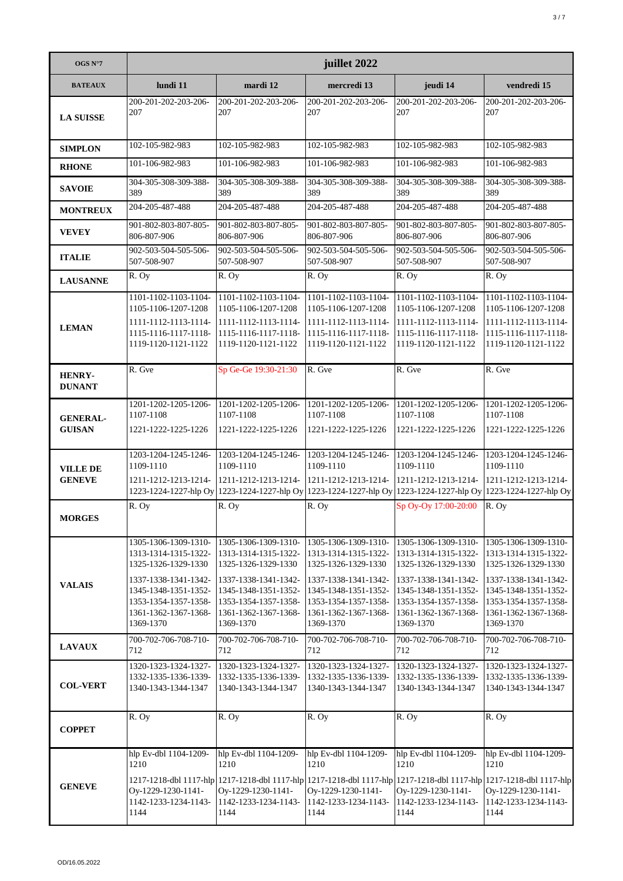| OGS N°7                          | juillet 2022                                                                                                                                                                     |                                                                                                                                                                                                           |                                                                                                                                                                                  |                                                                                                                                                                                  |                                                                                                                                                                                  |  |
|----------------------------------|----------------------------------------------------------------------------------------------------------------------------------------------------------------------------------|-----------------------------------------------------------------------------------------------------------------------------------------------------------------------------------------------------------|----------------------------------------------------------------------------------------------------------------------------------------------------------------------------------|----------------------------------------------------------------------------------------------------------------------------------------------------------------------------------|----------------------------------------------------------------------------------------------------------------------------------------------------------------------------------|--|
| <b>BATEAUX</b>                   | lundi 11                                                                                                                                                                         | mardi 12                                                                                                                                                                                                  | mercredi 13                                                                                                                                                                      | jeudi 14                                                                                                                                                                         | vendredi 15                                                                                                                                                                      |  |
| <b>LA SUISSE</b>                 | 200-201-202-203-206-<br>207                                                                                                                                                      | 200-201-202-203-206-<br>207                                                                                                                                                                               | 200-201-202-203-206-<br>207                                                                                                                                                      | 200-201-202-203-206-<br>207                                                                                                                                                      | 200-201-202-203-206-<br>207                                                                                                                                                      |  |
| <b>SIMPLON</b>                   | 102-105-982-983                                                                                                                                                                  | 102-105-982-983                                                                                                                                                                                           | 102-105-982-983                                                                                                                                                                  | 102-105-982-983                                                                                                                                                                  | 102-105-982-983                                                                                                                                                                  |  |
| <b>RHONE</b>                     | 101-106-982-983                                                                                                                                                                  | 101-106-982-983                                                                                                                                                                                           | 101-106-982-983                                                                                                                                                                  | 101-106-982-983                                                                                                                                                                  | 101-106-982-983                                                                                                                                                                  |  |
| <b>SAVOIE</b>                    | 304-305-308-309-388-<br>389                                                                                                                                                      | 304-305-308-309-388-<br>389                                                                                                                                                                               | 304-305-308-309-388-<br>389                                                                                                                                                      | 304-305-308-309-388-<br>389                                                                                                                                                      | 304-305-308-309-388-<br>389                                                                                                                                                      |  |
| <b>MONTREUX</b>                  | 204-205-487-488                                                                                                                                                                  | 204-205-487-488                                                                                                                                                                                           | 204-205-487-488                                                                                                                                                                  | 204-205-487-488                                                                                                                                                                  | 204-205-487-488                                                                                                                                                                  |  |
| <b>VEVEY</b>                     | 901-802-803-807-805-<br>806-807-906                                                                                                                                              | 901-802-803-807-805-<br>806-807-906                                                                                                                                                                       | 901-802-803-807-805-<br>806-807-906                                                                                                                                              | 901-802-803-807-805-<br>806-807-906                                                                                                                                              | 901-802-803-807-805-<br>806-807-906                                                                                                                                              |  |
| <b>ITALIE</b>                    | 902-503-504-505-506-<br>507-508-907                                                                                                                                              | 902-503-504-505-506-<br>507-508-907                                                                                                                                                                       | 902-503-504-505-506-<br>507-508-907                                                                                                                                              | 902-503-504-505-506-<br>507-508-907                                                                                                                                              | 902-503-504-505-506-<br>507-508-907                                                                                                                                              |  |
| <b>LAUSANNE</b>                  | R. Oy                                                                                                                                                                            | R. Oy                                                                                                                                                                                                     | R. Oy                                                                                                                                                                            | R. Oy                                                                                                                                                                            | R. Oy                                                                                                                                                                            |  |
|                                  | 1101-1102-1103-1104-<br>1105-1106-1207-1208                                                                                                                                      | 1101-1102-1103-1104-<br>1105-1106-1207-1208                                                                                                                                                               | 1101-1102-1103-1104-<br>1105-1106-1207-1208                                                                                                                                      | 1101-1102-1103-1104-<br>1105-1106-1207-1208                                                                                                                                      | 1101-1102-1103-1104-<br>1105-1106-1207-1208                                                                                                                                      |  |
| <b>LEMAN</b>                     | 1111-1112-1113-1114-<br>1115-1116-1117-1118-<br>1119-1120-1121-1122                                                                                                              | 1111-1112-1113-1114-<br>1115-1116-1117-1118-<br>1119-1120-1121-1122                                                                                                                                       | 1111-1112-1113-1114-<br>1115-1116-1117-1118-<br>1119-1120-1121-1122                                                                                                              | 1111-1112-1113-1114-<br>1115-1116-1117-1118-<br>1119-1120-1121-1122                                                                                                              | 1111-1112-1113-1114-<br>1115-1116-1117-1118-<br>1119-1120-1121-1122                                                                                                              |  |
| HENRY-<br><b>DUNANT</b>          | R. Gve                                                                                                                                                                           | Sp Ge-Ge 19:30-21:30                                                                                                                                                                                      | R. Gve                                                                                                                                                                           | R. Gve                                                                                                                                                                           | R. Gve                                                                                                                                                                           |  |
| <b>GENERAL-</b><br><b>GUISAN</b> | 1201-1202-1205-1206-<br>1107-1108<br>1221-1222-1225-1226                                                                                                                         | 1201-1202-1205-1206-<br>1107-1108<br>1221-1222-1225-1226                                                                                                                                                  | 1201-1202-1205-1206-<br>1107-1108<br>1221-1222-1225-1226                                                                                                                         | 1201-1202-1205-1206-<br>1107-1108<br>1221-1222-1225-1226                                                                                                                         | 1201-1202-1205-1206-<br>1107-1108<br>1221-1222-1225-1226                                                                                                                         |  |
| <b>VILLE DE</b><br><b>GENEVE</b> | 1203-1204-1245-1246-<br>1109-1110<br>1211-1212-1213-1214-                                                                                                                        | 1203-1204-1245-1246-<br>1109-1110<br>1211-1212-1213-1214-                                                                                                                                                 | 1203-1204-1245-1246-<br>1109-1110<br>1211-1212-1213-1214-                                                                                                                        | 1203-1204-1245-1246-<br>1109-1110<br>1211-1212-1213-1214-                                                                                                                        | 1203-1204-1245-1246-<br>1109-1110<br>1211-1212-1213-1214-                                                                                                                        |  |
|                                  |                                                                                                                                                                                  | 1223-1224-1227-hlp Oy 1223-1224-1227-hlp Oy                                                                                                                                                               | 1223-1224-1227-hlp Oy 1223-1224-1227-hlp Oy 1223-1224-1227-hlp Oy                                                                                                                |                                                                                                                                                                                  |                                                                                                                                                                                  |  |
| <b>MORGES</b>                    | $\overline{R}$ . Oy                                                                                                                                                              | R. Oy                                                                                                                                                                                                     | R. Oy                                                                                                                                                                            | Sp Oy-Oy 17:00-20:00                                                                                                                                                             | R. Oy                                                                                                                                                                            |  |
| <b>VALAIS</b>                    | 1305-1306-1309-1310-<br>1313-1314-1315-1322-<br>1325-1326-1329-1330<br>1337-1338-1341-1342-<br>1345-1348-1351-1352-<br>1353-1354-1357-1358-<br>1361-1362-1367-1368-<br>1369-1370 | 1305-1306-1309-1310-<br>1313-1314-1315-1322-<br>1325-1326-1329-1330<br>1337-1338-1341-1342-<br>1345-1348-1351-1352-<br>1353-1354-1357-1358-<br>1361-1362-1367-1368-<br>1369-1370                          | 1305-1306-1309-1310-<br>1313-1314-1315-1322-<br>1325-1326-1329-1330<br>1337-1338-1341-1342-<br>1345-1348-1351-1352-<br>1353-1354-1357-1358-<br>1361-1362-1367-1368-<br>1369-1370 | 1305-1306-1309-1310-<br>1313-1314-1315-1322-<br>1325-1326-1329-1330<br>1337-1338-1341-1342-<br>1345-1348-1351-1352-<br>1353-1354-1357-1358-<br>1361-1362-1367-1368-<br>1369-1370 | 1305-1306-1309-1310-<br>1313-1314-1315-1322-<br>1325-1326-1329-1330<br>1337-1338-1341-1342-<br>1345-1348-1351-1352-<br>1353-1354-1357-1358-<br>1361-1362-1367-1368-<br>1369-1370 |  |
| <b>LAVAUX</b>                    | 700-702-706-708-710-<br>712                                                                                                                                                      | 700-702-706-708-710-<br>712                                                                                                                                                                               | 700-702-706-708-710-<br>712                                                                                                                                                      | 700-702-706-708-710-<br>712                                                                                                                                                      | 700-702-706-708-710-<br>712                                                                                                                                                      |  |
| <b>COL-VERT</b>                  | 1320-1323-1324-1327-<br>1332-1335-1336-1339-<br>1340-1343-1344-1347                                                                                                              | 1320-1323-1324-1327-<br>1332-1335-1336-1339-<br>1340-1343-1344-1347                                                                                                                                       | 1320-1323-1324-1327-<br>1332-1335-1336-1339-<br>1340-1343-1344-1347                                                                                                              | 1320-1323-1324-1327-<br>1332-1335-1336-1339-<br>1340-1343-1344-1347                                                                                                              | 1320-1323-1324-1327-<br>1332-1335-1336-1339-<br>1340-1343-1344-1347                                                                                                              |  |
| <b>COPPET</b>                    | R. Oy                                                                                                                                                                            | R. Oy                                                                                                                                                                                                     | R. Oy                                                                                                                                                                            | R. Oy                                                                                                                                                                            | R. Oy                                                                                                                                                                            |  |
| <b>GENEVE</b>                    | hlp Ev-dbl 1104-1209-<br>1210<br>Oy-1229-1230-1141-<br>1142-1233-1234-1143-<br>1144                                                                                              | hlp Ev-dbl 1104-1209-<br>1210<br>1217-1218-dbl 1117-hlp 1217-1218-dbl 1117-hlp 1217-1218-dbl 1117-hlp 1217-1218-dbl 1117-hlp 1217-1218-dbl 1117-hlp<br>Oy-1229-1230-1141-<br>1142-1233-1234-1143-<br>1144 | hlp Ev-dbl 1104-1209-<br>1210<br>Oy-1229-1230-1141-<br>1142-1233-1234-1143-<br>1144                                                                                              | hlp Ev-dbl 1104-1209-<br>1210<br>Oy-1229-1230-1141-<br>1142-1233-1234-1143-<br>1144                                                                                              | hlp Ev-dbl 1104-1209-<br>1210<br>Oy-1229-1230-1141-<br>1142-1233-1234-1143-<br>1144                                                                                              |  |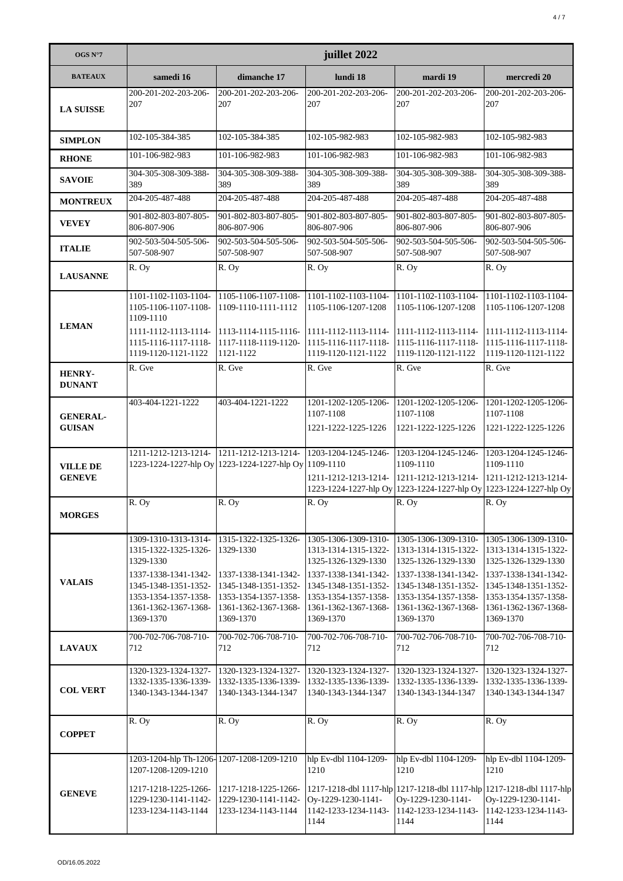| OGS N°7                          | juillet 2022                                                                                                                                                           |                                                                                                                                                |                                                                                                                                                                                  |                                                                                                                                                                                  |                                                                                                                                                                                  |  |
|----------------------------------|------------------------------------------------------------------------------------------------------------------------------------------------------------------------|------------------------------------------------------------------------------------------------------------------------------------------------|----------------------------------------------------------------------------------------------------------------------------------------------------------------------------------|----------------------------------------------------------------------------------------------------------------------------------------------------------------------------------|----------------------------------------------------------------------------------------------------------------------------------------------------------------------------------|--|
| <b>BATEAUX</b>                   | samedi 16                                                                                                                                                              | dimanche 17                                                                                                                                    | lundi 18                                                                                                                                                                         | mardi 19                                                                                                                                                                         | mercredi 20                                                                                                                                                                      |  |
| <b>LA SUISSE</b>                 | 200-201-202-203-206-<br>207                                                                                                                                            | 200-201-202-203-206-<br>207                                                                                                                    | 200-201-202-203-206-<br>207                                                                                                                                                      | 200-201-202-203-206-<br>207                                                                                                                                                      | 200-201-202-203-206-<br>207                                                                                                                                                      |  |
| <b>SIMPLON</b>                   | 102-105-384-385                                                                                                                                                        | 102-105-384-385                                                                                                                                | 102-105-982-983                                                                                                                                                                  | 102-105-982-983                                                                                                                                                                  | 102-105-982-983                                                                                                                                                                  |  |
| <b>RHONE</b>                     | 101-106-982-983                                                                                                                                                        | 101-106-982-983                                                                                                                                | 101-106-982-983                                                                                                                                                                  | 101-106-982-983                                                                                                                                                                  | 101-106-982-983                                                                                                                                                                  |  |
| <b>SAVOIE</b>                    | 304-305-308-309-388-<br>389                                                                                                                                            | 304-305-308-309-388-<br>389                                                                                                                    | 304-305-308-309-388-<br>389                                                                                                                                                      | 304-305-308-309-388-<br>389                                                                                                                                                      | 304-305-308-309-388-<br>389                                                                                                                                                      |  |
| <b>MONTREUX</b>                  | 204-205-487-488                                                                                                                                                        | 204-205-487-488                                                                                                                                | 204-205-487-488                                                                                                                                                                  | 204-205-487-488                                                                                                                                                                  | 204-205-487-488                                                                                                                                                                  |  |
| <b>VEVEY</b>                     | 901-802-803-807-805-<br>806-807-906                                                                                                                                    | 901-802-803-807-805-<br>806-807-906                                                                                                            | 901-802-803-807-805-<br>806-807-906                                                                                                                                              | 901-802-803-807-805-<br>806-807-906                                                                                                                                              | 901-802-803-807-805-<br>806-807-906                                                                                                                                              |  |
| <b>ITALIE</b>                    | 902-503-504-505-506-<br>507-508-907                                                                                                                                    | 902-503-504-505-506-<br>507-508-907                                                                                                            | 902-503-504-505-506-<br>507-508-907                                                                                                                                              | 902-503-504-505-506-<br>507-508-907                                                                                                                                              | 902-503-504-505-506-<br>507-508-907                                                                                                                                              |  |
| <b>LAUSANNE</b>                  | R. Oy                                                                                                                                                                  | R. Oy                                                                                                                                          | R. Oy                                                                                                                                                                            | R. Oy                                                                                                                                                                            | R. Oy                                                                                                                                                                            |  |
| <b>LEMAN</b>                     | 1101-1102-1103-1104-<br>1105-1106-1107-1108-<br>1109-1110<br>1111-1112-1113-1114- 1113-1114-1115-1116-<br>1115-1116-1117-1118-                                         | 1105-1106-1107-1108-<br>1109-1110-1111-1112<br>1117-1118-1119-1120-                                                                            | 1101-1102-1103-1104-<br>1105-1106-1207-1208<br>1111-1112-1113-1114-<br>1115-1116-1117-1118-                                                                                      | 1101-1102-1103-1104-<br>1105-1106-1207-1208<br>1111-1112-1113-1114-<br>1115-1116-1117-1118-                                                                                      | 1101-1102-1103-1104-<br>1105-1106-1207-1208<br>1111-1112-1113-1114-<br>1115-1116-1117-1118-                                                                                      |  |
| <b>HENRY-</b><br><b>DUNANT</b>   | 1119-1120-1121-1122<br>R. Gve                                                                                                                                          | 1121-1122<br>R. Gve                                                                                                                            | 1119-1120-1121-1122<br>R. Gve                                                                                                                                                    | 1119-1120-1121-1122<br>R. Gve                                                                                                                                                    | 1119-1120-1121-1122<br>R. Gve                                                                                                                                                    |  |
| <b>GENERAL-</b><br><b>GUISAN</b> | 403-404-1221-1222                                                                                                                                                      | 403-404-1221-1222                                                                                                                              | 1201-1202-1205-1206-<br>1107-1108<br>1221-1222-1225-1226                                                                                                                         | 1201-1202-1205-1206-<br>1107-1108<br>1221-1222-1225-1226                                                                                                                         | 1201-1202-1205-1206-<br>1107-1108<br>1221-1222-1225-1226                                                                                                                         |  |
| <b>VILLE DE</b><br><b>GENEVE</b> | 1211-1212-1213-1214- 1211-1212-1213-1214-                                                                                                                              | 1223-1224-1227-hlp Oy 1223-1224-1227-hlp Oy 1109-1110                                                                                          | 1203-1204-1245-1246-<br>1211-1212-1213-1214-                                                                                                                                     | 1203-1204-1245-1246-<br>1109-1110<br>1211-1212-1213-1214-                                                                                                                        | 1203-1204-1245-1246-<br>1109-1110<br>1211-1212-1213-1214-<br>1223-1224-1227-hlp Oy 1223-1224-1227-hlp Oy 1223-1224-1227-hlp Oy                                                   |  |
| <b>MORGES</b>                    | $\overline{R}$ . Oy                                                                                                                                                    | R. Oy                                                                                                                                          | R. Oy                                                                                                                                                                            | R. Oy                                                                                                                                                                            | R. Oy                                                                                                                                                                            |  |
| <b>VALAIS</b>                    | 1309-1310-1313-1314-<br>1315-1322-1325-1326-<br>1329-1330<br>1337-1338-1341-1342-<br>1345-1348-1351-1352-<br>1353-1354-1357-1358-<br>1361-1362-1367-1368-<br>1369-1370 | 1315-1322-1325-1326-<br>1329-1330<br>1337-1338-1341-1342-<br>1345-1348-1351-1352-<br>1353-1354-1357-1358-<br>1361-1362-1367-1368-<br>1369-1370 | 1305-1306-1309-1310-<br>1313-1314-1315-1322-<br>1325-1326-1329-1330<br>1337-1338-1341-1342-<br>1345-1348-1351-1352-<br>1353-1354-1357-1358-<br>1361-1362-1367-1368-<br>1369-1370 | 1305-1306-1309-1310-<br>1313-1314-1315-1322-<br>1325-1326-1329-1330<br>1337-1338-1341-1342-<br>1345-1348-1351-1352-<br>1353-1354-1357-1358-<br>1361-1362-1367-1368-<br>1369-1370 | 1305-1306-1309-1310-<br>1313-1314-1315-1322-<br>1325-1326-1329-1330<br>1337-1338-1341-1342-<br>1345-1348-1351-1352-<br>1353-1354-1357-1358-<br>1361-1362-1367-1368-<br>1369-1370 |  |
| <b>LAVAUX</b>                    | 700-702-706-708-710-<br>712                                                                                                                                            | 700-702-706-708-710-<br>712                                                                                                                    | 700-702-706-708-710-<br>712                                                                                                                                                      | 700-702-706-708-710-<br>712                                                                                                                                                      | 700-702-706-708-710-<br>712                                                                                                                                                      |  |
| <b>COL VERT</b>                  | 1320-1323-1324-1327-<br>1332-1335-1336-1339-<br>1340-1343-1344-1347                                                                                                    | 1320-1323-1324-1327-<br>1332-1335-1336-1339-<br>1340-1343-1344-1347                                                                            | 1320-1323-1324-1327-<br>1332-1335-1336-1339-<br>1340-1343-1344-1347                                                                                                              | 1320-1323-1324-1327-<br>1332-1335-1336-1339-<br>1340-1343-1344-1347                                                                                                              | 1320-1323-1324-1327-<br>1332-1335-1336-1339-<br>1340-1343-1344-1347                                                                                                              |  |
| <b>COPPET</b>                    | R. Oy                                                                                                                                                                  | R. Oy                                                                                                                                          | R. Oy                                                                                                                                                                            | R. Oy                                                                                                                                                                            | R. Oy                                                                                                                                                                            |  |
| <b>GENEVE</b>                    | 1203-1204-hlp Th-1206-1207-1208-1209-1210<br>1207-1208-1209-1210<br>1217-1218-1225-1266-<br>1229-1230-1141-1142-<br>1233-1234-1143-1144                                | 1217-1218-1225-1266-<br>1229-1230-1141-1142-<br>1233-1234-1143-1144                                                                            | hlp Ev-dbl 1104-1209-<br>1210<br>Oy-1229-1230-1141-<br>1142-1233-1234-1143-<br>1144                                                                                              | hlp Ev-dbl 1104-1209-<br>1210<br>1217-1218-dbl 1117-hlp 1217-1218-dbl 1117-hlp 1217-1218-dbl 1117-hlp<br>Oy-1229-1230-1141-<br>1142-1233-1234-1143-<br>1144                      | hlp Ev-dbl 1104-1209-<br>1210<br>Oy-1229-1230-1141-<br>1142-1233-1234-1143-<br>1144                                                                                              |  |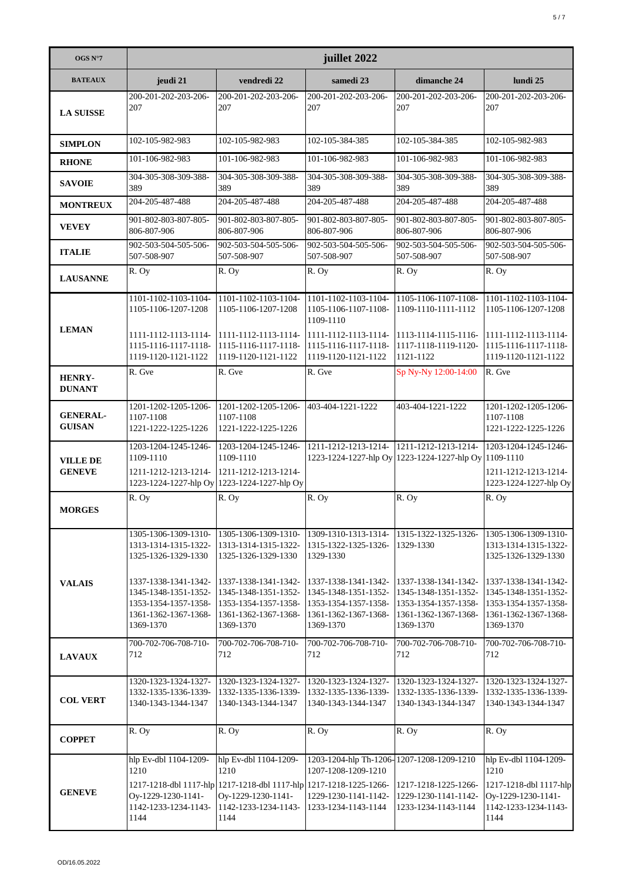| OGS N°7                          | juillet 2022                                                                                              |                                                                                                                                                           |                                                                                                                 |                                                                                                           |                                                                                                               |  |
|----------------------------------|-----------------------------------------------------------------------------------------------------------|-----------------------------------------------------------------------------------------------------------------------------------------------------------|-----------------------------------------------------------------------------------------------------------------|-----------------------------------------------------------------------------------------------------------|---------------------------------------------------------------------------------------------------------------|--|
| <b>BATEAUX</b>                   | jeudi 21                                                                                                  | vendredi 22                                                                                                                                               | samedi 23                                                                                                       | dimanche 24                                                                                               | lundi 25                                                                                                      |  |
| <b>LA SUISSE</b>                 | 200-201-202-203-206-<br>207                                                                               | 200-201-202-203-206-<br>207                                                                                                                               | 200-201-202-203-206-<br>207                                                                                     | 200-201-202-203-206-<br>207                                                                               | 200-201-202-203-206-<br>207                                                                                   |  |
| <b>SIMPLON</b>                   | 102-105-982-983                                                                                           | 102-105-982-983                                                                                                                                           | 102-105-384-385                                                                                                 | 102-105-384-385                                                                                           | 102-105-982-983                                                                                               |  |
| <b>RHONE</b>                     | 101-106-982-983                                                                                           | 101-106-982-983                                                                                                                                           | 101-106-982-983                                                                                                 | 101-106-982-983                                                                                           | 101-106-982-983                                                                                               |  |
| <b>SAVOIE</b>                    | 304-305-308-309-388-<br>389                                                                               | 304-305-308-309-388-<br>389                                                                                                                               | 304-305-308-309-388-<br>389                                                                                     | 304-305-308-309-388-<br>389                                                                               | 304-305-308-309-388-<br>389                                                                                   |  |
| <b>MONTREUX</b>                  | 204-205-487-488                                                                                           | 204-205-487-488                                                                                                                                           | 204-205-487-488                                                                                                 | 204-205-487-488                                                                                           | 204-205-487-488                                                                                               |  |
| <b>VEVEY</b>                     | 901-802-803-807-805-<br>806-807-906                                                                       | 901-802-803-807-805-<br>806-807-906                                                                                                                       | 901-802-803-807-805-<br>806-807-906                                                                             | 901-802-803-807-805-<br>806-807-906                                                                       | 901-802-803-807-805-<br>806-807-906                                                                           |  |
| <b>ITALIE</b>                    | 902-503-504-505-506-<br>507-508-907                                                                       | 902-503-504-505-506-<br>507-508-907                                                                                                                       | 902-503-504-505-506-<br>507-508-907                                                                             | 902-503-504-505-506-<br>507-508-907                                                                       | 902-503-504-505-506-<br>507-508-907                                                                           |  |
| <b>LAUSANNE</b>                  | R. Oy                                                                                                     | R. Oy                                                                                                                                                     | R. Oy                                                                                                           | R. Oy                                                                                                     | R. Oy                                                                                                         |  |
|                                  | 1101-1102-1103-1104-<br>1105-1106-1207-1208                                                               | 1101-1102-1103-1104-<br>1105-1106-1207-1208                                                                                                               | 1101-1102-1103-1104-<br>1105-1106-1107-1108-<br>1109-1110                                                       | 1105-1106-1107-1108-<br>1109-1110-1111-1112                                                               | 1101-1102-1103-1104-<br>1105-1106-1207-1208                                                                   |  |
| <b>LEMAN</b>                     | 1111-1112-1113-1114-<br>1115-1116-1117-1118-<br>1119-1120-1121-1122                                       | 1111-1112-1113-1114-<br>1115-1116-1117-1118-<br>1119-1120-1121-1122                                                                                       | 1111-1112-1113-1114- 1113-1114-1115-1116-<br>1115-1116-1117-1118-<br>1119-1120-1121-1122                        | 1117-1118-1119-1120-<br>1121-1122                                                                         | $1111-1112-1113-1114-$<br>1115-1116-1117-1118-<br>1119-1120-1121-1122                                         |  |
| <b>HENRY-</b><br><b>DUNANT</b>   | R. Gve                                                                                                    | R. Gve                                                                                                                                                    | R. Gve                                                                                                          | Sp Ny-Ny 12:00-14:00                                                                                      | R. Gve                                                                                                        |  |
| <b>GENERAL-</b><br><b>GUISAN</b> | 1201-1202-1205-1206- 1201-1202-1205-1206-<br>1107-1108<br>1221-1222-1225-1226                             | 1107-1108<br>1221-1222-1225-1226                                                                                                                          | 403-404-1221-1222                                                                                               | 403-404-1221-1222                                                                                         | 1201-1202-1205-1206-<br>1107-1108<br>1221-1222-1225-1226                                                      |  |
| <b>VILLE DE</b><br><b>GENEVE</b> | 1203-1204-1245-1246-<br>1109-1110<br>1211-1212-1213-1214-                                                 | 1203-1204-1245-1246-<br>1109-1110<br>1211-1212-1213-1214-<br>1223-1224-1227-hlp Oy 1223-1224-1227-hlp Oy                                                  | 1211-1212-1213-1214- 1211-1212-1213-1214-                                                                       | 1223-1224-1227-hlp Oy 1223-1224-1227-hlp Oy 1109-1110                                                     | 1203-1204-1245-1246-<br>1211-1212-1213-1214-<br>1223-1224-1227-hlp Oy                                         |  |
| <b>MORGES</b>                    | R. Oy                                                                                                     | R. Oy                                                                                                                                                     | $\overline{R}$ . Oy                                                                                             | R. Oy                                                                                                     | R. Oy                                                                                                         |  |
|                                  | 1305-1306-1309-1310-<br>1313-1314-1315-1322-<br>1325-1326-1329-1330                                       | 1305-1306-1309-1310-<br>1313-1314-1315-1322-<br>1325-1326-1329-1330                                                                                       | 1309-1310-1313-1314-<br>1315-1322-1325-1326-<br>1329-1330                                                       | 1315-1322-1325-1326-<br>1329-1330                                                                         | 1305-1306-1309-1310-<br>1313-1314-1315-1322-<br>1325-1326-1329-1330                                           |  |
| <b>VALAIS</b>                    | 1337-1338-1341-1342-<br>1345-1348-1351-1352-<br>1353-1354-1357-1358-<br>1361-1362-1367-1368-<br>1369-1370 | 1337-1338-1341-1342-<br>1345-1348-1351-1352-<br>1353-1354-1357-1358-<br>1361-1362-1367-1368-<br>1369-1370                                                 | 1337-1338-1341-1342-<br>1345-1348-1351-1352-<br>1353-1354-1357-1358-<br>1361-1362-1367-1368-<br>1369-1370       | 1337-1338-1341-1342-<br>1345-1348-1351-1352-<br>1353-1354-1357-1358-<br>1361-1362-1367-1368-<br>1369-1370 | 1337-1338-1341-1342-<br>1345-1348-1351-1352-<br>1353-1354-1357-1358-<br>1361-1362-1367-1368-<br>1369-1370     |  |
| <b>LAVAUX</b>                    | 700-702-706-708-710-<br>712                                                                               | 700-702-706-708-710-<br>712                                                                                                                               | 700-702-706-708-710-<br>712                                                                                     | 700-702-706-708-710-<br>712                                                                               | 700-702-706-708-710-<br>712                                                                                   |  |
| <b>COL VERT</b>                  | 1320-1323-1324-1327-<br>1332-1335-1336-1339-<br>1340-1343-1344-1347                                       | 1320-1323-1324-1327-<br>1332-1335-1336-1339-<br>1340-1343-1344-1347                                                                                       | 1320-1323-1324-1327-<br>1332-1335-1336-1339-<br>1340-1343-1344-1347                                             | 1320-1323-1324-1327-<br>1332-1335-1336-1339-<br>1340-1343-1344-1347                                       | 1320-1323-1324-1327-<br>1332-1335-1336-1339-<br>1340-1343-1344-1347                                           |  |
| <b>COPPET</b>                    | R. Oy                                                                                                     | R. Oy                                                                                                                                                     | R. Oy                                                                                                           | R. Oy                                                                                                     | R. Oy                                                                                                         |  |
| <b>GENEVE</b>                    | hlp Ev-dbl 1104-1209-<br>1210<br>Oy-1229-1230-1141-<br>1142-1233-1234-1143-<br>1144                       | hlp Ev-dbl 1104-1209-<br>1210<br>1217-1218-dbl 1117-hlp 1217-1218-dbl 1117-hlp 1217-1218-1225-1266-<br>Oy-1229-1230-1141-<br>1142-1233-1234-1143-<br>1144 | 1203-1204-hlp Th-1206-1207-1208-1209-1210<br>1207-1208-1209-1210<br>1229-1230-1141-1142-<br>1233-1234-1143-1144 | 1217-1218-1225-1266-<br>1229-1230-1141-1142-<br>1233-1234-1143-1144                                       | hlp Ev-dbl 1104-1209-<br>1210<br>1217-1218-dbl 1117-hlp<br>Oy-1229-1230-1141-<br>1142-1233-1234-1143-<br>1144 |  |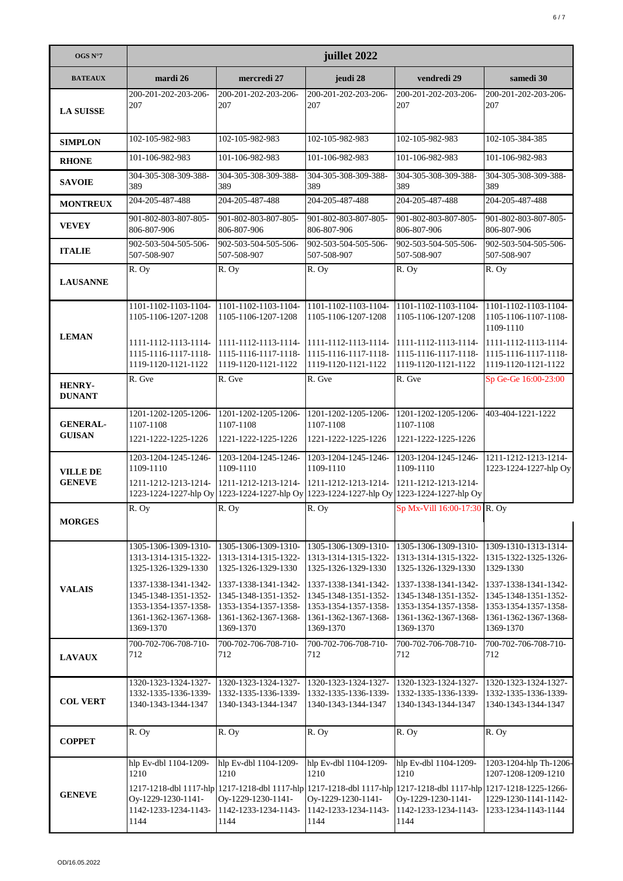| OGS $N^{\circ}7$                 | juillet 2022                                                                                                                                                                     |                                                                                                                                                                                                         |                                                                                                                                                                                  |                                                                                                                                                                                  |                                                                                                                                                                        |  |
|----------------------------------|----------------------------------------------------------------------------------------------------------------------------------------------------------------------------------|---------------------------------------------------------------------------------------------------------------------------------------------------------------------------------------------------------|----------------------------------------------------------------------------------------------------------------------------------------------------------------------------------|----------------------------------------------------------------------------------------------------------------------------------------------------------------------------------|------------------------------------------------------------------------------------------------------------------------------------------------------------------------|--|
| <b>BATEAUX</b>                   | mardi 26                                                                                                                                                                         | mercredi 27                                                                                                                                                                                             | jeudi 28                                                                                                                                                                         | vendredi 29                                                                                                                                                                      | samedi 30                                                                                                                                                              |  |
| <b>LA SUISSE</b>                 | 200-201-202-203-206-<br>207                                                                                                                                                      | 200-201-202-203-206-<br>207                                                                                                                                                                             | 200-201-202-203-206-<br>207                                                                                                                                                      | 200-201-202-203-206-<br>207                                                                                                                                                      | 200-201-202-203-206-<br>207                                                                                                                                            |  |
| <b>SIMPLON</b>                   | 102-105-982-983                                                                                                                                                                  | 102-105-982-983                                                                                                                                                                                         | 102-105-982-983                                                                                                                                                                  | 102-105-982-983                                                                                                                                                                  | 102-105-384-385                                                                                                                                                        |  |
| <b>RHONE</b>                     | 101-106-982-983                                                                                                                                                                  | 101-106-982-983                                                                                                                                                                                         | 101-106-982-983                                                                                                                                                                  | 101-106-982-983                                                                                                                                                                  | 101-106-982-983                                                                                                                                                        |  |
| <b>SAVOIE</b>                    | 304-305-308-309-388-<br>389                                                                                                                                                      | 304-305-308-309-388-<br>389                                                                                                                                                                             | 304-305-308-309-388-<br>389                                                                                                                                                      | 304-305-308-309-388-<br>389                                                                                                                                                      | 304-305-308-309-388-<br>389                                                                                                                                            |  |
| <b>MONTREUX</b>                  | 204-205-487-488                                                                                                                                                                  | 204-205-487-488                                                                                                                                                                                         | 204-205-487-488                                                                                                                                                                  | 204-205-487-488                                                                                                                                                                  | 204-205-487-488                                                                                                                                                        |  |
| <b>VEVEY</b>                     | 901-802-803-807-805-<br>806-807-906                                                                                                                                              | 901-802-803-807-805-<br>806-807-906                                                                                                                                                                     | 901-802-803-807-805-<br>806-807-906                                                                                                                                              | 901-802-803-807-805-<br>806-807-906                                                                                                                                              | 901-802-803-807-805-<br>806-807-906                                                                                                                                    |  |
| <b>ITALIE</b>                    | 902-503-504-505-506-<br>507-508-907                                                                                                                                              | 902-503-504-505-506-<br>507-508-907                                                                                                                                                                     | 902-503-504-505-506-<br>507-508-907                                                                                                                                              | 902-503-504-505-506-<br>507-508-907                                                                                                                                              | 902-503-504-505-506-<br>507-508-907                                                                                                                                    |  |
| <b>LAUSANNE</b>                  | $\overline{R}$ . Oy                                                                                                                                                              | R. Oy                                                                                                                                                                                                   | R. Oy                                                                                                                                                                            | R. Oy                                                                                                                                                                            | R. Oy                                                                                                                                                                  |  |
| <b>LEMAN</b>                     | 1101-1102-1103-1104-<br>1105-1106-1207-1208                                                                                                                                      | 1101-1102-1103-1104-<br>1105-1106-1207-1208                                                                                                                                                             | 1101-1102-1103-1104-<br>1105-1106-1207-1208                                                                                                                                      | 1101-1102-1103-1104-<br>1105-1106-1207-1208                                                                                                                                      | 1101-1102-1103-1104-<br>1105-1106-1107-1108-<br>1109-1110                                                                                                              |  |
|                                  | 1111-1112-1113-1114-<br>1115-1116-1117-1118-<br>1119-1120-1121-1122                                                                                                              | $1111 - 1112 - 1113 - 1114 -$<br>1115-1116-1117-1118-<br>1119-1120-1121-1122                                                                                                                            | 1111-1112-1113-1114-<br>1115-1116-1117-1118-<br>1119-1120-1121-1122                                                                                                              | 1111-1112-1113-1114-<br>1115-1116-1117-1118-<br>1119-1120-1121-1122                                                                                                              | 1111-1112-1113-1114-<br>1115-1116-1117-1118-<br>1119-1120-1121-1122                                                                                                    |  |
| <b>HENRY-</b><br><b>DUNANT</b>   | R. Gve                                                                                                                                                                           | R. Gve                                                                                                                                                                                                  | R. Gve                                                                                                                                                                           | R. Gve                                                                                                                                                                           | Sp Ge-Ge 16:00-23:00                                                                                                                                                   |  |
| <b>GENERAL-</b><br><b>GUISAN</b> | 1201-1202-1205-1206-<br>1107-1108<br>1221-1222-1225-1226                                                                                                                         | 1201-1202-1205-1206-<br>1107-1108<br>1221-1222-1225-1226                                                                                                                                                | 1201-1202-1205-1206-<br>1107-1108<br>1221-1222-1225-1226                                                                                                                         | 1201-1202-1205-1206-<br>1107-1108<br>1221-1222-1225-1226                                                                                                                         | 403-404-1221-1222                                                                                                                                                      |  |
| <b>VILLE DE</b><br><b>GENEVE</b> | 1203-1204-1245-1246-<br>1109-1110<br>1211-1212-1213-1214-                                                                                                                        | 1203-1204-1245-1246-<br>1109-1110<br>1211-1212-1213-1214-<br>1223-1224-1227-hlp Oy 1223-1224-1227-hlp Oy                                                                                                | 1203-1204-1245-1246-<br>1109-1110<br>1211-1212-1213-1214-<br>1223-1224-1227-hlp Oy 1223-1224-1227-hlp Oy                                                                         | 1203-1204-1245-1246-<br>1109-1110<br>1211-1212-1213-1214-                                                                                                                        | 1211-1212-1213-1214-<br>1223-1224-1227-hlp Oy                                                                                                                          |  |
| <b>MORGES</b>                    | R. Oy                                                                                                                                                                            | R. Oy                                                                                                                                                                                                   | R. Oy                                                                                                                                                                            | Sp Mx-Vill 16:00-17:30 R. Oy                                                                                                                                                     |                                                                                                                                                                        |  |
| <b>VALAIS</b>                    | 1305-1306-1309-1310-<br>1313-1314-1315-1322-<br>1325-1326-1329-1330<br>1337-1338-1341-1342-<br>1345-1348-1351-1352-<br>1353-1354-1357-1358-<br>1361-1362-1367-1368-<br>1369-1370 | 1305-1306-1309-1310-<br>1313-1314-1315-1322-<br>1325-1326-1329-1330<br>1337-1338-1341-1342-<br>1345-1348-1351-1352-<br>1353-1354-1357-1358-<br>1361-1362-1367-1368-<br>1369-1370                        | 1305-1306-1309-1310-<br>1313-1314-1315-1322-<br>1325-1326-1329-1330<br>1337-1338-1341-1342-<br>1345-1348-1351-1352-<br>1353-1354-1357-1358-<br>1361-1362-1367-1368-<br>1369-1370 | 1305-1306-1309-1310-<br>1313-1314-1315-1322-<br>1325-1326-1329-1330<br>1337-1338-1341-1342-<br>1345-1348-1351-1352-<br>1353-1354-1357-1358-<br>1361-1362-1367-1368-<br>1369-1370 | 1309-1310-1313-1314-<br>1315-1322-1325-1326-<br>1329-1330<br>1337-1338-1341-1342-<br>1345-1348-1351-1352-<br>1353-1354-1357-1358-<br>1361-1362-1367-1368-<br>1369-1370 |  |
| <b>LAVAUX</b>                    | 700-702-706-708-710-<br>712                                                                                                                                                      | 700-702-706-708-710-<br>712                                                                                                                                                                             | 700-702-706-708-710-<br>712                                                                                                                                                      | 700-702-706-708-710-<br>712                                                                                                                                                      | 700-702-706-708-710-<br>712                                                                                                                                            |  |
| <b>COL VERT</b>                  | 1320-1323-1324-1327-<br>1332-1335-1336-1339-<br>1340-1343-1344-1347                                                                                                              | 1320-1323-1324-1327-<br>1332-1335-1336-1339-<br>1340-1343-1344-1347                                                                                                                                     | 1320-1323-1324-1327-<br>1332-1335-1336-1339-<br>1340-1343-1344-1347                                                                                                              | 1320-1323-1324-1327-<br>1332-1335-1336-1339-<br>1340-1343-1344-1347                                                                                                              | 1320-1323-1324-1327-<br>1332-1335-1336-1339-<br>1340-1343-1344-1347                                                                                                    |  |
| <b>COPPET</b>                    | R. Oy                                                                                                                                                                            | R. Oy                                                                                                                                                                                                   | R. Oy                                                                                                                                                                            | R. Oy                                                                                                                                                                            | R. Oy                                                                                                                                                                  |  |
| <b>GENEVE</b>                    | hlp Ev-dbl 1104-1209-<br>1210<br>Oy-1229-1230-1141-<br>1142-1233-1234-1143-<br>1144                                                                                              | hlp Ev-dbl 1104-1209-<br>1210<br>1217-1218-dbl 1117-hlp 1217-1218-dbl 1117-hlp 1217-1218-dbl 1117-hlp 1217-1218-dbl 1117-hlp 1217-1218-1225-1266-<br>Oy-1229-1230-1141-<br>1142-1233-1234-1143-<br>1144 | hlp Ev-dbl 1104-1209-<br>1210<br>Oy-1229-1230-1141-<br>1142-1233-1234-1143-<br>1144                                                                                              | hlp Ev-dbl 1104-1209-<br>1210<br>Oy-1229-1230-1141-<br>1142-1233-1234-1143-<br>1144                                                                                              | 1203-1204-hlp Th-1206-<br>1207-1208-1209-1210<br>1229-1230-1141-1142-<br>1233-1234-1143-1144                                                                           |  |